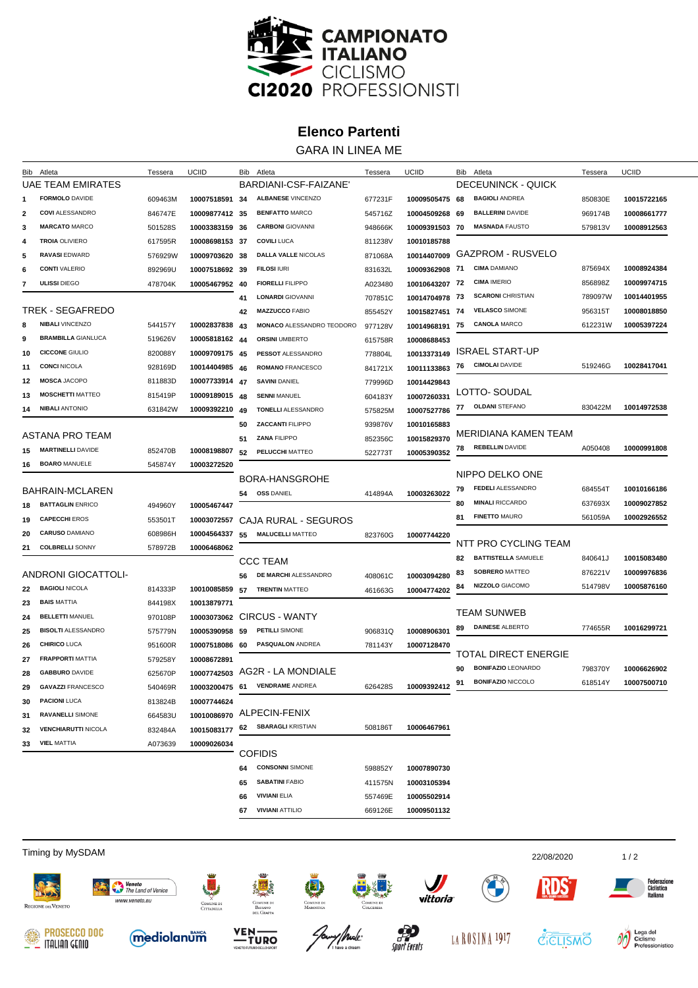

## **Elenco Partenti**

GARA IN LINEA ME

|                   | Bib Atleta                                   | Tessera | UCIID                |    | Bib Atleta                       | Tessera | UCIID                     |    | Bib Atleta                  | Tessera            | UCIID       |
|-------------------|----------------------------------------------|---------|----------------------|----|----------------------------------|---------|---------------------------|----|-----------------------------|--------------------|-------------|
| UAE TEAM EMIRATES |                                              |         | BARDIANI-CSF-FAIZANE |    |                                  |         | <b>DECEUNINCK - QUICK</b> |    |                             |                    |             |
|                   | <b>FORMOLO DAVIDE</b>                        | 609463M | 10007518591          | 34 | <b>ALBANESE VINCENZO</b>         | 677231F | 10009505475 68            |    | <b>BAGIOLI ANDREA</b>       | 850830E            | 10015722165 |
| 2                 | <b>COVI ALESSANDRO</b>                       | 846747E | 10009877412 35       |    | <b>BENFATTO MARCO</b>            | 545716Z | 10004509268 69            |    | <b>BALLERINI DAVIDE</b>     | 969174B            | 10008661777 |
| 3                 | <b>MARCATO MARCO</b>                         | 501528S | 10003383159 36       |    | <b>CARBONI</b> GIOVANNI          | 948666K | 10009391503 70            |    | <b>MASNADA FAUSTO</b>       | 579813V            | 10008912563 |
| 4                 | <b>TROIA OLIVIERO</b>                        | 617595R | 10008698153 37       |    | <b>COVILI LUCA</b>               | 811238V | 10010185788               |    |                             |                    |             |
| 5                 | <b>RAVASI EDWARD</b>                         | 576929W | 10009703620 38       |    | <b>DALLA VALLE NICOLAS</b>       | 871068A | 10014407009               |    | GAZPROM - RUSVELO           |                    |             |
| 6                 | <b>CONTI VALERIO</b>                         | 892969U | 10007518692 39       |    | <b>FILOSI IURI</b>               | 831632L | 10009362908 71            |    | <b>CIMA DAMIANO</b>         | 875694X            | 10008924384 |
| 7                 | <b>ULISSI DIEGO</b>                          | 478704K | 10005467952 40       |    | <b>FIORELLI FILIPPO</b>          | A023480 | 10010643207 72            |    | <b>CIMA IMERIO</b>          | 856898Z            | 10009974715 |
|                   |                                              |         |                      | 41 | <b>LONARDI GIOVANNI</b>          | 707851C | 10014704978 73            |    | <b>SCARONI CHRISTIAN</b>    | 789097W            | 10014401955 |
|                   | <b>TREK - SEGAFREDO</b>                      |         |                      | 42 | <b>MAZZUCCO FABIO</b>            | 855452Y | 10015827451 74            |    | <b>VELASCO SIMONE</b>       | 956315T            | 10008018850 |
| 8                 | <b>NIBALI VINCENZO</b>                       | 544157Y | 10002837838          | 43 | <b>MONACO ALESSANDRO TEODORO</b> | 977128V | 10014968191               | 75 | <b>CANOLA MARCO</b>         | 612231W            | 10005397224 |
| 9                 | <b>BRAMBILLA GIANLUCA</b>                    | 519626V | 10005818162 44       |    | <b>ORSINI UMBERTO</b>            | 615758R | 10008688453               |    |                             |                    |             |
| 10                | <b>CICCONE GIULIO</b>                        | 820088Y | 10009709175 45       |    | <b>PESSOT ALESSANDRO</b>         | 778804L | 10013373149               |    | <b>ISRAEL START-UP</b>      |                    |             |
| 11                | <b>CONCI NICOLA</b>                          | 928169D | 10014404985          | 46 | <b>ROMANO FRANCESCO</b>          | 841721X | 10011133863               | 76 | <b>CIMOLAI</b> DAVIDE       | 519246G            | 10028417041 |
| 12                | <b>MOSCA JACOPO</b>                          | 811883D | 10007733914          | 47 | <b>SAVINI DANIEL</b>             | 779996D | 10014429843               |    |                             |                    |             |
| 13                | <b>MOSCHETTI MATTEO</b>                      | 815419P | 10009189015          | 48 | <b>SENNI MANUEL</b>              | 604183Y | 10007260331               |    | LOTTO-SOUDAL                |                    |             |
| 14                | <b>NIBALI ANTONIO</b>                        | 631842W | 10009392210          | 49 | <b>TONELLI ALESSANDRO</b>        | 575825M | 10007527786               | 77 | <b>OLDANI STEFANO</b>       | 830422M            | 10014972538 |
|                   |                                              |         |                      | 50 | <b>ZACCANTI FILIPPO</b>          | 939876V | 10010165883               |    |                             |                    |             |
|                   | ASTANA PRO TEAM                              |         |                      | 51 | <b>ZANA FILIPPO</b>              | 852356C | 10015829370               |    | MERIDIANA KAMEN TEAM        |                    |             |
| 15                | <b>MARTINELLI DAVIDE</b>                     | 852470B | 10008198807          | 52 | <b>PELUCCHI MATTEO</b>           | 522773T | 10005390352               | 78 | <b>REBELLIN DAVIDE</b>      | A050408            | 10000991808 |
| 16                | <b>BOARO MANUELE</b>                         | 545874Y | 10003272520          |    |                                  |         |                           |    |                             |                    |             |
|                   |                                              |         |                      |    | BORA-HANSGROHE                   |         |                           |    | NIPPO DELKO ONE             |                    |             |
|                   | BAHRAIN-MCLAREN                              |         |                      | 54 | <b>OSS DANIEL</b>                | 414894A | 10003263022               | 79 | <b>FEDELI ALESSANDRO</b>    | 684554T            | 10010166186 |
| 18                | <b>BATTAGLIN ENRICO</b>                      | 494960Y | 10005467447          |    |                                  |         |                           | 80 | <b>MINALI RICCARDO</b>      | 637693X            | 10009027852 |
| 19                | <b>CAPECCHI EROS</b>                         | 553501T | 10003072557          |    | CAJA RURAL - SEGUROS             |         |                           | 81 | <b>FINETTO MAURO</b>        | 561059A            | 10002926552 |
| 20                | <b>CARUSO DAMIANO</b>                        | 608986H | 10004564337          | 55 | <b>MALUCELLI MATTEO</b>          | 823760G | 10007744220               |    | NTT PRO CYCLING TEAM        |                    |             |
| 21                | <b>COLBRELLI SONNY</b>                       | 578972B | 10006468062          |    |                                  |         |                           | 82 | <b>BATTISTELLA SAMUELE</b>  |                    | 10015083480 |
|                   |                                              |         |                      |    | <b>CCC TEAM</b>                  |         |                           | 83 | <b>SOBRERO MATTEO</b>       | 840641J<br>876221V | 10009976836 |
|                   | ANDRONI GIOCATTOLI-                          |         |                      | 56 | DE MARCHI ALESSANDRO             | 408061C | 10003094280               | 84 | <b>NIZZOLO</b> GIACOMO      | 514798V            | 10005876160 |
| 22                | <b>BAGIOLI NICOLA</b>                        | 814333P | 10010085859          | 57 | <b>TRENTIN MATTEO</b>            | 461663G | 10004774202               |    |                             |                    |             |
| 23                | <b>BAIS MATTIA</b>                           | 844198X | 10013879771          |    |                                  |         |                           |    | <b>TEAM SUNWEB</b>          |                    |             |
| 24                | <b>BELLETTI MANUEL</b>                       | 970108P | 10003073062          |    | <b>CIRCUS - WANTY</b>            |         |                           | 89 | <b>DAINESE ALBERTO</b>      | 774655R            | 10016299721 |
| 25                | <b>BISOLTI ALESSANDRO</b>                    | 575779N | 10005390958          | 59 | <b>PETILLI SIMONE</b>            | 906831Q | 10008906301               |    |                             |                    |             |
| 26                | <b>CHIRICO LUCA</b>                          | 951600R | 10007518086          | 60 | <b>PASQUALON ANDREA</b>          | 781143Y | 10007128470               |    | <b>TOTAL DIRECT ENERGIE</b> |                    |             |
| 27                | <b>FRAPPORTI MATTIA</b>                      | 579258Y | 10008672891          |    |                                  |         |                           | 90 | <b>BONIFAZIO LEONARDO</b>   | 798370Y            | 10006626902 |
| 28                | <b>GABBURO DAVIDE</b>                        | 625670P |                      |    | 10007742503 AG2R - LA MONDIALE   |         |                           | 91 | <b>BONIFAZIO NICCOLO</b>    | 618514Y            | 10007500710 |
| 29                | <b>GAVAZZI FRANCESCO</b>                     | 540469R |                      |    | 10003200475 61 VENDRAME ANDREA   | 626428S | 10009392412               |    |                             |                    |             |
| 30                | <b>PACIONI LUCA</b>                          | 813824B | 10007744624          |    | ALPECIN-FENIX                    |         |                           |    |                             |                    |             |
| 31                | <b>RAVANELLI SIMONE</b>                      | 664583U | 10010086970          |    | 62 SBARAGLI KRISTIAN             |         |                           |    |                             |                    |             |
| 32                | <b>VENCHIARUTTI NICOLA</b>                   | 832484A | 10015083177          |    |                                  | 508186T | 10006467961               |    |                             |                    |             |
| 33                | <b>VIEL MATTIA</b><br>A073639<br>10009026034 |         | <b>COFIDIS</b>       |    |                                  |         |                           |    |                             |                    |             |
|                   |                                              |         |                      | 64 | <b>CONSONNI SIMONE</b>           | 598852Y | 10007890730               |    |                             |                    |             |
|                   |                                              |         |                      | 65 | <b>SABATINI FABIO</b>            | 411575N | 10003105394               |    |                             |                    |             |
|                   |                                              |         |                      | 66 | <b>VIVIANI ELIA</b>              | 557469E | 10005502914               |    |                             |                    |             |
|                   |                                              |         |                      | 67 | <b>VIVIANI ATTILIO</b>           | 669126E | 10009501132               |    |                             |                    |             |